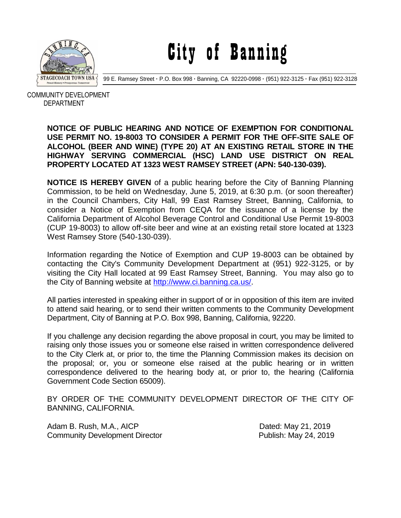

City of Banning

99 E. Ramsey Street **·** P.O. Box 998 **·** Banning, CA 92220-0998 **·** (951) 922-3125 **·** Fax (951) 922-3128

 COMMUNITY DEVELOPMENT DEPARTMENT

## **NOTICE OF PUBLIC HEARING AND NOTICE OF EXEMPTION FOR CONDITIONAL USE PERMIT NO. 19-8003 TO CONSIDER A PERMIT FOR THE OFF-SITE SALE OF ALCOHOL (BEER AND WINE) (TYPE 20) AT AN EXISTING RETAIL STORE IN THE HIGHWAY SERVING COMMERCIAL (HSC) LAND USE DISTRICT ON REAL PROPERTY LOCATED AT 1323 WEST RAMSEY STREET (APN: 540-130-039).**

**NOTICE IS HEREBY GIVEN** of a public hearing before the City of Banning Planning Commission, to be held on Wednesday, June 5, 2019, at 6:30 p.m. (or soon thereafter) in the Council Chambers, City Hall, 99 East Ramsey Street, Banning, California, to consider a Notice of Exemption from CEQA for the issuance of a license by the California Department of Alcohol Beverage Control and Conditional Use Permit 19-8003 (CUP 19-8003) to allow off-site beer and wine at an existing retail store located at 1323 West Ramsey Store (540-130-039).

Information regarding the Notice of Exemption and CUP 19-8003 can be obtained by contacting the City's Community Development Department at (951) 922-3125, or by visiting the City Hall located at 99 East Ramsey Street, Banning. You may also go to the City of Banning website at [http://www.ci.banning.ca.us/.](http://www.ci.banning.ca.us/)

All parties interested in speaking either in support of or in opposition of this item are invited to attend said hearing, or to send their written comments to the Community Development Department, City of Banning at P.O. Box 998, Banning, California, 92220.

If you challenge any decision regarding the above proposal in court, you may be limited to raising only those issues you or someone else raised in written correspondence delivered to the City Clerk at, or prior to, the time the Planning Commission makes its decision on the proposal; or, you or someone else raised at the public hearing or in written correspondence delivered to the hearing body at, or prior to, the hearing (California Government Code Section 65009).

BY ORDER OF THE COMMUNITY DEVELOPMENT DIRECTOR OF THE CITY OF BANNING, CALIFORNIA.

Adam B. Rush, M.A., AICP Dated: May 21, 2019 Community Development Director **Publish: May 24, 2019**